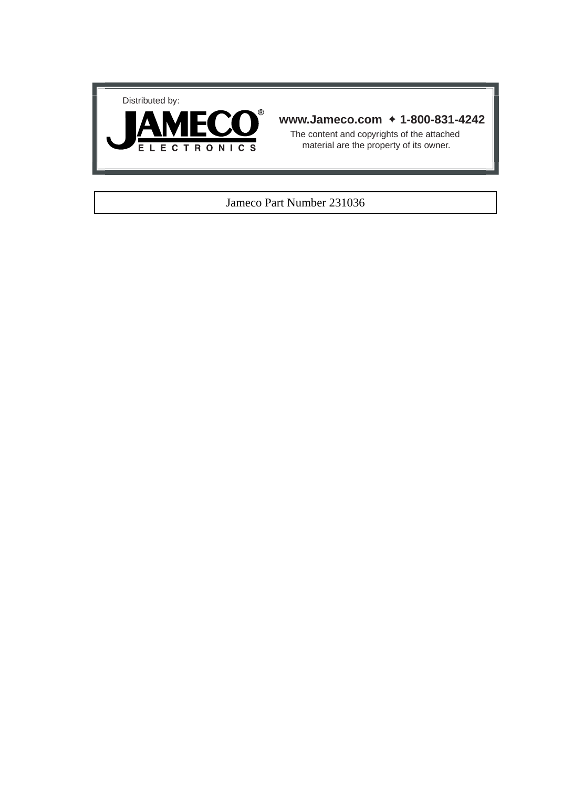



## **www.Jameco.com** ✦ **1-800-831-4242**

The content and copyrights of the attached material are the property of its owner.

## Jameco Part Number 231036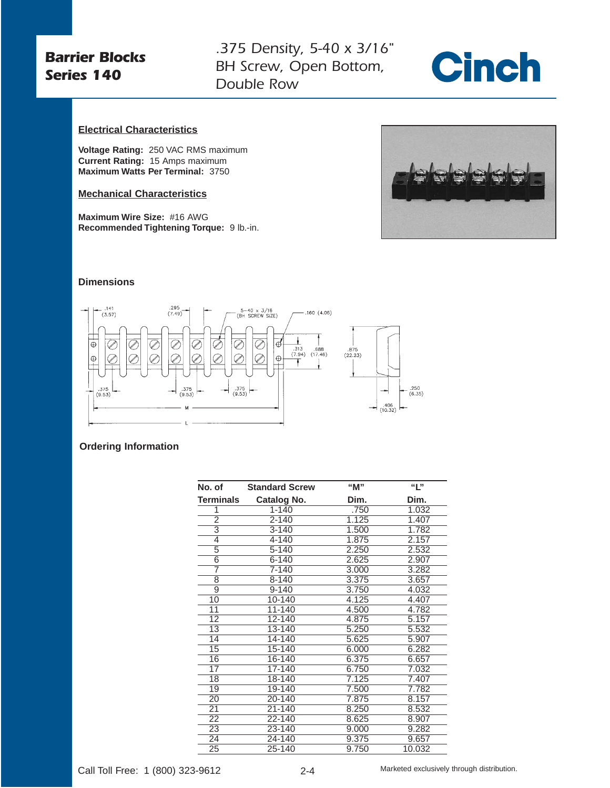## *Barrier Blocks Series 140*

*.375 Density, 5-40 x 3/16" BH Screw, Open Bottom, Double Row*



## **Electrical Characteristics**

**Voltage Rating:** 250 VAC RMS maximum **Current Rating:** 15 Amps maximum **Maximum Watts Per Terminal:** 3750

## **Mechanical Characteristics**

**Maximum Wire Size:** #16 AWG **Recommended Tightening Torque:** 9 lb.-in.



### **Dimensions**



#### **Ordering Information**

| No. of           | <b>Standard Screw</b> | "M"   | "L"    |
|------------------|-----------------------|-------|--------|
| <b>Terminals</b> | <b>Catalog No.</b>    | Dim.  | Dim.   |
| 1                | $1 - 140$             | .750  | 1.032  |
| $\overline{2}$   | $2 - 140$             | 1.125 | 1.407  |
| $\overline{3}$   | $3 - 140$             | 1.500 | 1.782  |
| $\overline{4}$   | 4-140                 | 1.875 | 2.157  |
| 5                | 5-140                 | 2.250 | 2.532  |
| $\overline{6}$   | $6 - 140$             | 2.625 | 2.907  |
| 7                | 7-140                 | 3.000 | 3.282  |
| $\overline{8}$   | 8-140                 | 3.375 | 3.657  |
| 9                | $9 - 140$             | 3.750 | 4.032  |
| 10               | 10-140                | 4.125 | 4.407  |
| 11               | 11-140                | 4.500 | 4.782  |
| 12               | $12 - 140$            | 4.875 | 5.157  |
| 13               | 13-140                | 5.250 | 5.532  |
| 14               | 14-140                | 5.625 | 5.907  |
| 15               | 15-140                | 6.000 | 6.282  |
| 16               | 16-140                | 6.375 | 6.657  |
| 17               | 17-140                | 6.750 | 7.032  |
| 18               | 18-140                | 7.125 | 7.407  |
| 19               | 19-140                | 7.500 | 7.782  |
| 20               | 20-140                | 7.875 | 8.157  |
| 21               | 21-140                | 8.250 | 8.532  |
| 22               | 22-140                | 8.625 | 8.907  |
| 23               | 23-140                | 9.000 | 9.282  |
| 24               | 24-140                | 9.375 | 9.657  |
| 25               | 25-140                | 9.750 | 10.032 |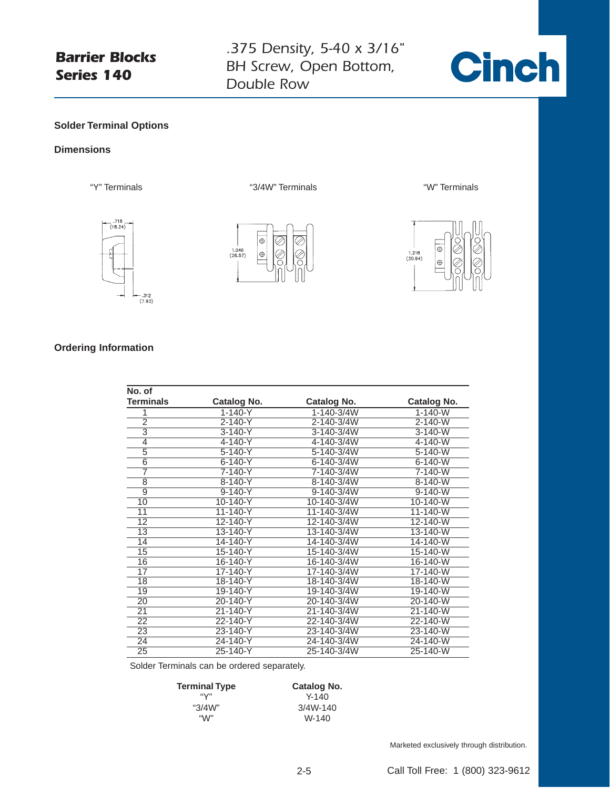# *Barrier Blocks Series 140*

*.375 Density, 5-40 x 3/16" BH Screw, Open Bottom, Double Row*



## **Solder Terminal Options**

#### **Dimensions**





"Y" Terminals "3/4W" Terminals "W" Terminals



## **Ordering Information**

| No. of         |               |             |               |
|----------------|---------------|-------------|---------------|
| Terminals      | Catalog No.   | Catalog No. | Catalog No.   |
| 1              | $1 - 140 - Y$ | 1-140-3/4W  | $1 - 140 - W$ |
| $\overline{2}$ | $2 - 140 - Y$ | 2-140-3/4W  | $2 - 140 - W$ |
| $\overline{3}$ | $3-140-Y$     | 3-140-3/4W  | $3 - 140 - W$ |
| $\overline{4}$ | 4-140-Y       | 4-140-3/4W  | 4-140-W       |
| $\overline{5}$ | $5 - 140 - Y$ | 5-140-3/4W  | $5 - 140 - W$ |
| $\overline{6}$ | $6 - 140 - Y$ | 6-140-3/4W  | $6 - 140 - W$ |
| $\overline{7}$ | 7-140-Y       | 7-140-3/4W  | 7-140-W       |
| 8              | 8-140-Y       | 8-140-3/4W  | 8-140-W       |
| $\overline{9}$ | $9 - 140 - Y$ | 9-140-3/4W  | $9 - 140 - W$ |
| 10             | 10-140-Y      | 10-140-3/4W | 10-140-W      |
| 11             | 11-140-Y      | 11-140-3/4W | 11-140-W      |
| 12             | 12-140-Y      | 12-140-3/4W | 12-140-W      |
| 13             | 13-140-Y      | 13-140-3/4W | 13-140-W      |
| 14             | 14-140-Y      | 14-140-3/4W | 14-140-W      |
| 15             | 15-140-Y      | 15-140-3/4W | 15-140-W      |
| 16             | 16-140-Y      | 16-140-3/4W | 16-140-W      |
| 17             | 17-140-Y      | 17-140-3/4W | 17-140-W      |
| 18             | 18-140-Y      | 18-140-3/4W | 18-140-W      |
| 19             | 19-140-Y      | 19-140-3/4W | 19-140-W      |
| 20             | 20-140-Y      | 20-140-3/4W | 20-140-W      |
| 21             | 21-140-Y      | 21-140-3/4W | 21-140-W      |
| 22             | 22-140-Y      | 22-140-3/4W | 22-140-W      |
| 23             | 23-140-Y      | 23-140-3/4W | 23-140-W      |
| 24             | 24-140-Y      | 24-140-3/4W | 24-140-W      |
| 25             | 25-140-Y      | 25-140-3/4W | 25-140-W      |

Solder Terminals can be ordered separately.

| <b>Terminal Type</b> | Catalog No. |  |
|----------------------|-------------|--|
| "∨"                  | $Y - 140$   |  |
| " $3/4W$ "           | 3/4W-140    |  |
| ``M"                 | W-140       |  |

Marketed exclusively through distribution.